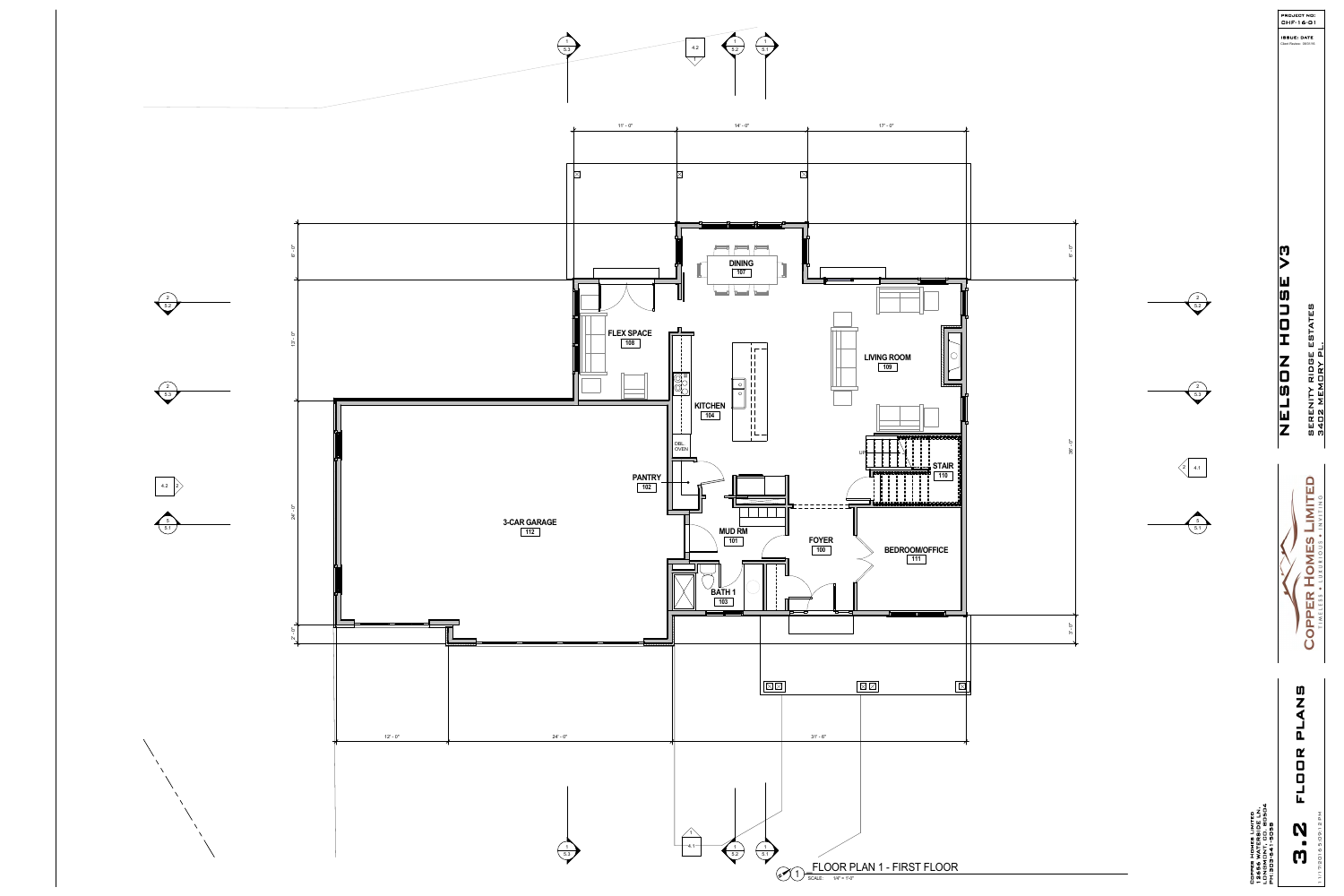